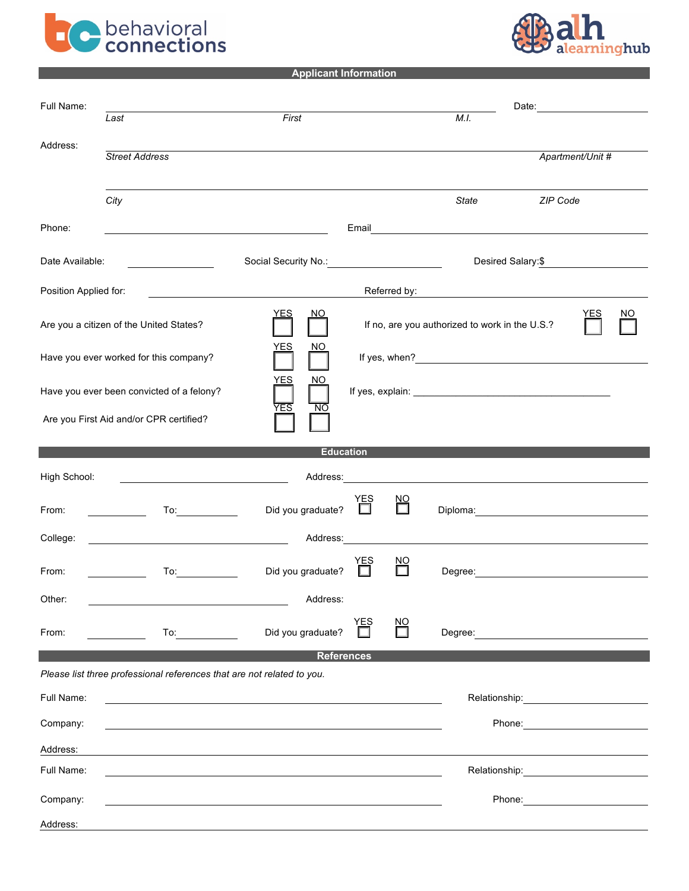



**Applicant Information**

| Full Name:            |                                                                                                                                                                                                                                | Date: <u>_________________</u>                                                                                  |          |                   |                                                                                                                                                                                                                                  |                    |                  |     |
|-----------------------|--------------------------------------------------------------------------------------------------------------------------------------------------------------------------------------------------------------------------------|-----------------------------------------------------------------------------------------------------------------|----------|-------------------|----------------------------------------------------------------------------------------------------------------------------------------------------------------------------------------------------------------------------------|--------------------|------------------|-----|
|                       | Last                                                                                                                                                                                                                           | First                                                                                                           |          |                   | M.I.                                                                                                                                                                                                                             |                    |                  |     |
| Address:              | <b>Street Address</b>                                                                                                                                                                                                          |                                                                                                                 |          |                   |                                                                                                                                                                                                                                  |                    | Apartment/Unit # |     |
|                       |                                                                                                                                                                                                                                |                                                                                                                 |          |                   |                                                                                                                                                                                                                                  |                    |                  |     |
|                       | City                                                                                                                                                                                                                           |                                                                                                                 |          |                   | <b>State</b>                                                                                                                                                                                                                     | ZIP Code           |                  |     |
| Phone:                |                                                                                                                                                                                                                                |                                                                                                                 | Email    |                   | <u> 1989 - Johann Stein, fransk politik (d. 1989)</u>                                                                                                                                                                            |                    |                  |     |
|                       |                                                                                                                                                                                                                                |                                                                                                                 |          |                   |                                                                                                                                                                                                                                  |                    |                  |     |
| Date Available:       | <u>______________________</u>                                                                                                                                                                                                  |                                                                                                                 |          |                   |                                                                                                                                                                                                                                  | Desired Salary: \$ |                  |     |
| Position Applied for: |                                                                                                                                                                                                                                | the contract of the contract of the contract of the contract of the contract of the contract of the contract of |          | Referred by:      |                                                                                                                                                                                                                                  |                    |                  |     |
|                       | Are you a citizen of the United States?                                                                                                                                                                                        | <b>YES</b><br><b>NO</b>                                                                                         |          |                   | If no, are you authorized to work in the U.S.?                                                                                                                                                                                   |                    | YES              | NO. |
|                       | Have you ever worked for this company?                                                                                                                                                                                         | YES<br>NO                                                                                                       |          |                   |                                                                                                                                                                                                                                  |                    |                  |     |
|                       | Have you ever been convicted of a felony?                                                                                                                                                                                      | YES<br>NΟ                                                                                                       |          |                   |                                                                                                                                                                                                                                  |                    |                  |     |
|                       | Are you First Aid and/or CPR certified?                                                                                                                                                                                        | YES<br>ΝO                                                                                                       |          |                   |                                                                                                                                                                                                                                  |                    |                  |     |
|                       |                                                                                                                                                                                                                                |                                                                                                                 |          |                   | <b>Education Education Contract Contract Contract Contract Contract Contract Contract Contract Contract Contract Contract Contract Contract Contract Contract Contract Contract Contract Contract Contract Contract Contract</b> |                    |                  |     |
| High School:          | <u> 1989 - Johann Barbara, martin amerikan basar dan basa dan basa dan basa dalam basa dalam basa dalam basa dala</u>                                                                                                          |                                                                                                                 |          |                   |                                                                                                                                                                                                                                  |                    |                  |     |
| From:                 | To: the contract of the contract of the contract of the contract of the contract of the contract of the contract of the contract of the contract of the contract of the contract of the contract of the contract of the contra | Did you graduate?                                                                                               |          | $\overline{\Box}$ |                                                                                                                                                                                                                                  |                    |                  |     |
| College:              | <u> 1980 - Johann Barbara, martin da basar a shekara 1980 - 1981 - 1982 - 1983 - 1984 - 1986 - 1987 - 1988 - 198</u>                                                                                                           | Address:                                                                                                        |          |                   |                                                                                                                                                                                                                                  |                    |                  |     |
| From:                 | To:                                                                                                                                                                                                                            | Did you graduate?                                                                                               | YES      | ΝO                |                                                                                                                                                                                                                                  |                    |                  |     |
| Other:                |                                                                                                                                                                                                                                | Address:                                                                                                        |          |                   |                                                                                                                                                                                                                                  |                    |                  |     |
| From:                 | To: $\qquad \qquad$                                                                                                                                                                                                            | Did you graduate?                                                                                               | ΥES<br>Π | NО                |                                                                                                                                                                                                                                  |                    |                  |     |
|                       |                                                                                                                                                                                                                                | <b>References</b>                                                                                               |          |                   |                                                                                                                                                                                                                                  |                    |                  |     |
|                       | Please list three professional references that are not related to you.                                                                                                                                                         |                                                                                                                 |          |                   |                                                                                                                                                                                                                                  |                    |                  |     |
| Full Name:            |                                                                                                                                                                                                                                |                                                                                                                 |          |                   |                                                                                                                                                                                                                                  |                    |                  |     |
| Company:              |                                                                                                                                                                                                                                |                                                                                                                 |          |                   |                                                                                                                                                                                                                                  |                    |                  |     |
| Address:              |                                                                                                                                                                                                                                |                                                                                                                 |          |                   |                                                                                                                                                                                                                                  |                    |                  |     |
| Full Name:            |                                                                                                                                                                                                                                |                                                                                                                 |          |                   |                                                                                                                                                                                                                                  |                    |                  |     |
| Company:              |                                                                                                                                                                                                                                |                                                                                                                 |          |                   |                                                                                                                                                                                                                                  |                    |                  |     |
| Address:              |                                                                                                                                                                                                                                |                                                                                                                 |          |                   |                                                                                                                                                                                                                                  |                    |                  |     |